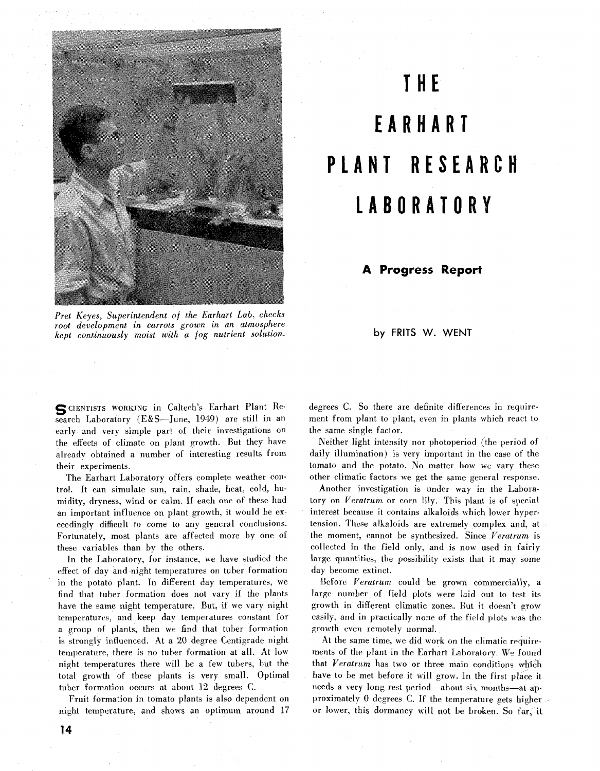

**THE EARHART PLANT RESEARCH LABORATO** 

## **A Progress Report**

Pret Keyes, Superintendent of the Earhart Lab, checks root development in carrots grown *in* an atmosphere kept continuously moist with a fog nutrient solution.

by FRITS W. WENT

**SCIENTISTS WORKING** in Caltech's Earhart Plant Research Laboratory (E&S-June, 1949) are still in an early and very simple part of their investigations on the effects of climate on plant growth. But they have already obtained a number of interesting results from their experiments.

The Earhart Laboratory offers complete weather control. It can simulate sun, rain, shade, heat, cold, humidity, dryness, wind or calm. If each one of these had an important influence on plant growth, it would be exceedingly difficult to come to any general conclusions. Fortunately, most plants are affected more by one of these variables than by the others.

In the Laboratory, for instance. we have studied the effect of day and night temperatures on tuber formation in the potato plant. In different day temperatures, we find that tuber formation does not vary if the plants have the same night temperature. But, if we vary night temperatures, and keep day temperatures constant for a group of plants, then we find that tuber formation is strongly influenced. At a 20 degree Centigrade night temperature, there is no tuber formation at all. At low night temperatures there will be a few tubers. but the total growth of these plants is very small. Optimal tuber formation occurs at about 12 degrees C.

Fruit formation in tomato plants is also dependent on night temperature, and shows an optimum around 17 degrees C. So there are definite differences in requirement from plant to plant, even in plants which react to the same single factor.

Neither light intensity nor photoperiod (the period of daily illumination) is very important in the case of the tomato and the potato. No matter how we vary these other climatic factors we get the same general response.

Another investigation is under way in the Laboratory on Veratrum or corn lily. This plant is of special interest because it contains alkaloids which lower hypertension. These alkaloids are extremely complex and, at the moment, cannot be synthesized. Since Veratrum is collected in the field only, and is now used in fairly large quantities, the possibility exists that it may some day become extinct.

Before Veratrum could be grown commercially, a large number of field plots were laid out to test its growth in different climatic zones. But it doesn't grow easily, and in practically none of the field plots was the growth even remotely normal.

At the same time, we did work on the climatic requiremerits of the plant in the Earhart Laboratory. We found that Veratrum has two or three main conditions which have to be met before it will grow. In the first place it needs a very long rest period-about six months-at approximately 0 degrees C. If the temperature gets higher or lower, this dormancy will not be broken. So far, it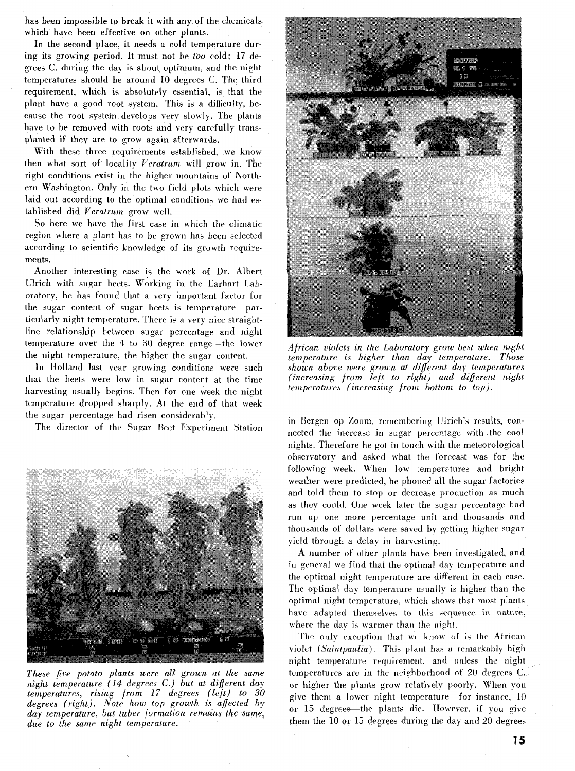has been impossible to break it with any of the chemicals which have been effective on other plants.

In the second place, it needs a cold temperature during its growing period. It must not be *too* cold; 17 degrees C. during the day is about optimum, and the night temperatures should be around 10 degrees *C.* The third requirement, which is absolutely essential, is that the plant have a good root system. This is a difficulty, because the root system develops very slowly. The plants have to be removed with roots and very carefully transplanted it they are to grow again afterwards.

With these three requirements established, we know then what sort of locality *Veratram* will grow in. The right conditions exist in the higher mountains of Northern Washington. Only in the two field plots which were laid out according to the optimal conditions we had established did *Veratrum* grow well.

So here we have the first case in which the climatic region where a plant has to be grown has been selected according to scientific knowledge of its growth requirements.

Another interesting case is the work of Dr. Albert Ulrich with sugar beets. Working in the Earhart Laboratory, he has found that a very important factor for the sugar content of sugar beets is temperature-particularly night temperature. There is a very nice straightline relationship between sugar percentage and night temperature over the 4 to 30 degree range-the lower the night temperature, the higher the sugar content.

In Holland last year growing conditions were such that the beets were low in sugar content at the time harvesting usually begins. Then for cne week the night temperature dropped sharply. **At** the end of that week the sugar percentage had risen considerably.

The director of the Sugar Beet Experiment Station



*These five potato plants were all groivn at the same night temperature (14 degrees C.) but at different* day *temperatures, rising from 17 degrees (left) to 30 degrees (right). Note how top growth is affected by day temperature, but tuber formation remains the same. due to the same night temperature.* 



*African violets in the Laboratory grow best when night temperature is higher than day temperature. Those hewn above were grown at different day temperatures (increasing from left to right) and different night temperatures (increasing from bottom to top).* 

in Bergen op Zoom, remembering Ulrich's results, connected the increase in sugar percentage with the cool nights. Therefore he got in touch with the meteorological observatory and asked what the forecast was for the following week. When low temperatures and bright weather were predicted, he phoned all the sugar factories and told them to stop or decrease production as much as they could. One week later the sugar percentage had run up one more percentage unit and thousands and thousands of dollars were saved by getting higher sugar yield through a delay in harvesting.

A number of other plants have been investigated, and in general we find that the optimal day temperature and the optimal night temperature are different in each case. The optimal day temperature usually is higher than the optimal night temperature. which shows that most plants have adapted themselves to this sequence in nature. where the day is warmer than the night.

The only exception that we know of is the African violet (Saintpaulia). This plant has a remarkably high night temperature requirement, and unless the night temperatures are in the neighborhood of 20 degrees **C.**  or higher the plants grow relatively poorly. When you give them a lower night temperature-for instance,  $10$ or 15 degrees-the plants die. However. if you give them the  $10$  or  $15$  degrees during the day and  $20$  degrees

15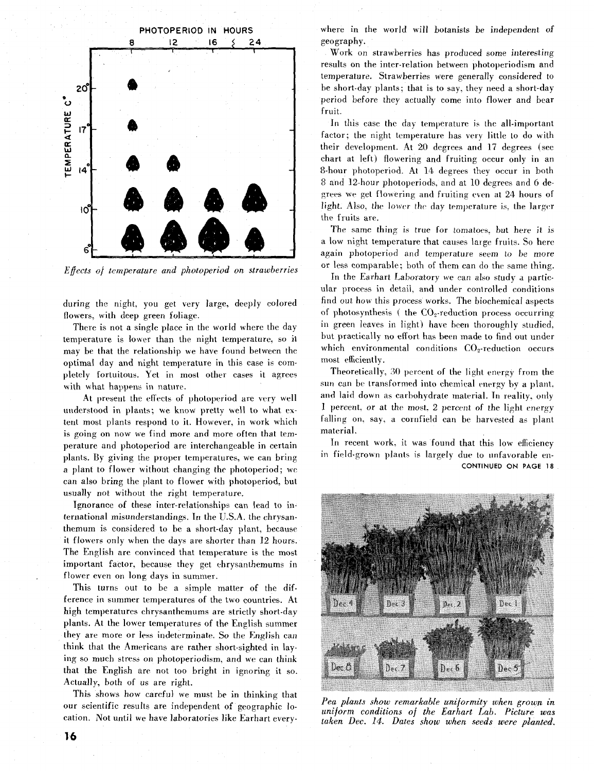

*Effects of temperature and photoperiod on strawberries* 

during the night, you get very large, deeply colored flowers, with deep green foliage.

There is not a single place in the world where the day temperature is lower than the night temperature, so it may be that the relationship we have found between the optimal day and night temperature in this case is completely fortuitous. Yet in most other cases it agrees with what happens in nature.

At present the effects of photoperiod are very well understood in plants; we know pretty well to what extent most plants respond to it. However, in work which is going on now we find more and more often that temperature and photoperiod are interchangeable in certain plants. By giving the proper temperatures, we can bring a plant to flower without changing the photoperiod; we can also bring the plant to flower with photoperiod, but usually not without the right temperature.

Ignorance of these inter-relationships can lead to international misunderstandings. In the U.S.A. the chrysanthemum is considered to be a short-day plant, because it flowers only when the days are shorter than 12 hours. The English are convinced that temperature is the most important factor. because they get chrysanthemums in flower even on long days in summer.

This turns out to be a simple matter of the difference in summer temperatures of the two countries. At high temperatures chrysanthemums are strictly short-day plants. **At** the lower temperatures of the English summer they are more or less indeterminate. So the English can think that the Americans are rather short-sighted in laying so much stress on photoperiodism, and we can think that the English are not too bright in ignoring it so. Actually, both of us are right.

This shows how careful we must be in thinking that our scientific results are independent of geographic location. Not until we have laboratories like Earhart everywhere in the world will botanists be independent *of*  geography.

Work on strawberries has produced some interesting results on the inter-relation between photoperiodism and temperature. Strawberries were generally considered to be short-day plants; that is to say, they need a short-day period before they actually come into flower and bear fruit.

In this case the day temperature **is** the all-important factor; the night temperature has very little to do with their development. At 20 degrees and 17 degrees (see chart at left) flowering and fruiting occur only in an 8-hour photoperiod. **At** 14 degrees they occur in both 8 and 12-hour photoperiods, and at 10 degrees and *6* degrees we get flowering and fruiting even at 24 hours of light. Also. the lower the day temperature is, the larger the fruits are.

The same thing is true for tomatoes. but here it is a low night temperature that causes large fruits. So here again photoperiod and temperature seem to be more or less comparable; both of them can do the same thing.

In the Earhart Laboratory we can also study a particular process in detail, and under controlled conditions find out how this process works. The biochemical aspects of photosynthesis ( the  $CO<sub>2</sub>$ -reduction process occurring in green leaves in light) have been thoroughly studied, but practically no effort has been made to find out under which environmental conditions  $CO<sub>2</sub>$ -reduction occurs most efficiently.

Theoretically, 30 percent of the light energy from the sun can be transformed into chemical energy by a plant. and laid down as carbohydrate material. In reality, only 1 percent, or at the most. 2 percent of the lighl energy falling on, say, a cornfield can be harvested as plant material.

In recent work, it was found that this low efficiency in field-grown plants is largely due to unfavorable en-CONTINUED ON PAGE **18** 



*Pea plants show remarkable uniformity when grown in uniform conditions of the Earhart Lab. Picture was taken Dec. 14. Dates show when seeds were planted.*